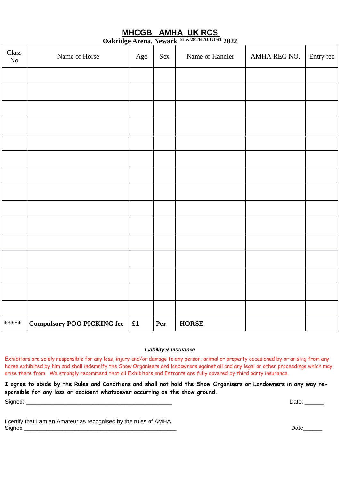| Class<br>${\rm No}$ | Name of Horse                     | $\rm Age$               | Sex | Name of Handler | AMHA REG NO. | Entry fee |
|---------------------|-----------------------------------|-------------------------|-----|-----------------|--------------|-----------|
|                     |                                   |                         |     |                 |              |           |
|                     |                                   |                         |     |                 |              |           |
|                     |                                   |                         |     |                 |              |           |
|                     |                                   |                         |     |                 |              |           |
|                     |                                   |                         |     |                 |              |           |
|                     |                                   |                         |     |                 |              |           |
|                     |                                   |                         |     |                 |              |           |
|                     |                                   |                         |     |                 |              |           |
|                     |                                   |                         |     |                 |              |           |
|                     |                                   |                         |     |                 |              |           |
|                     |                                   |                         |     |                 |              |           |
|                     |                                   |                         |     |                 |              |           |
|                     |                                   |                         |     |                 |              |           |
|                     |                                   |                         |     |                 |              |           |
|                     |                                   |                         |     |                 |              |           |
| *****               | <b>Compulsory POO PICKING fee</b> | $\pmb{\pmb{\pounds}}$ 1 | Per | <b>HORSE</b>    |              |           |

## **MHCGB AMHA UK RCS Oakridge Arena. Newark 27 & 28TH AUGUST 2022**

## *Liability & Insurance*

Exhibitors are solely responsible for any loss, injury and/or damage to any person, animal or property occasioned by or arising from any horse exhibited by him and shall indemnify the Show Organisers and landowners against all and any legal or other proceedings which may arise there from. We strongly recommend that all Exhibitors and Entrants are fully covered by third party insurance.

**I agree to abide by the Rules and Conditions and shall not hold the Show Organisers or Landowners in any way responsible for any loss or accident whatsoever occurring on the show ground.** Signed: \_\_\_\_\_\_\_\_\_\_\_\_\_\_\_\_\_\_\_\_\_\_\_\_\_\_\_\_\_\_\_\_\_\_\_\_\_\_\_\_\_\_\_\_\_\_ Date: \_\_\_\_\_\_

| I certify that I am an Amateur as recognised by the rules of AMHA |      |
|-------------------------------------------------------------------|------|
| Signed                                                            | Date |